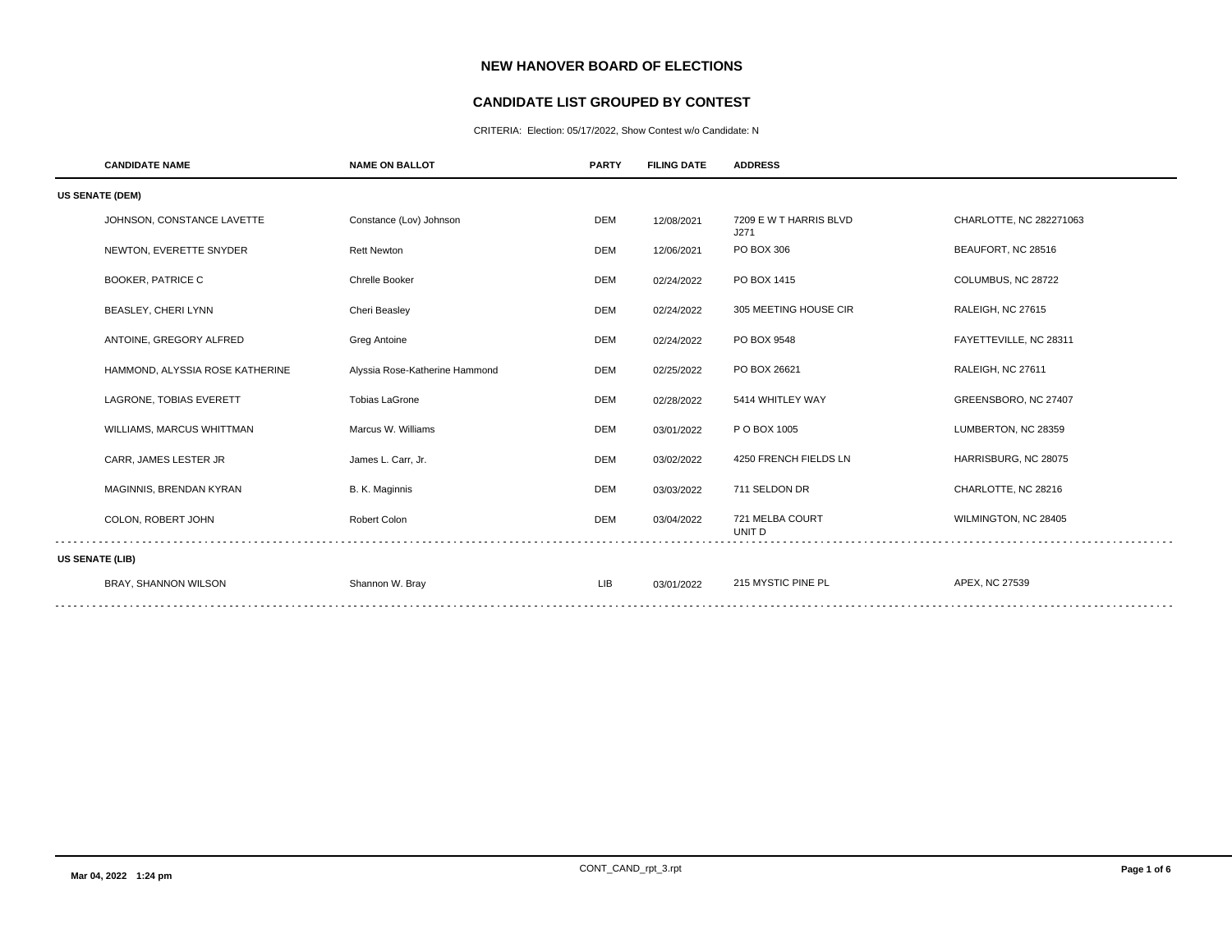# **NEW HANOVER BOARD OF ELECTIONS**

## **CANDIDATE LIST GROUPED BY CONTEST**

CRITERIA: Election: 05/17/2022, Show Contest w/o Candidate: N

| <b>CANDIDATE NAME</b>           | <b>NAME ON BALLOT</b>          | <b>PARTY</b> | <b>FILING DATE</b> | <b>ADDRESS</b>                 |                          |  |  |
|---------------------------------|--------------------------------|--------------|--------------------|--------------------------------|--------------------------|--|--|
| <b>US SENATE (DEM)</b>          |                                |              |                    |                                |                          |  |  |
| JOHNSON, CONSTANCE LAVETTE      | Constance (Lov) Johnson        | <b>DEM</b>   | 12/08/2021         | 7209 E W T HARRIS BLVD<br>J271 | CHARLOTTE, NC 282271063  |  |  |
| NEWTON, EVERETTE SNYDER         | <b>Rett Newton</b>             | <b>DEM</b>   | 12/06/2021         | PO BOX 306                     | BEAUFORT, NC 28516       |  |  |
| <b>BOOKER, PATRICE C</b>        | Chrelle Booker                 | <b>DEM</b>   | 02/24/2022         | PO BOX 1415                    | COLUMBUS, NC 28722       |  |  |
| <b>BEASLEY, CHERI LYNN</b>      | Cheri Beasley                  | <b>DEM</b>   | 02/24/2022         | 305 MEETING HOUSE CIR          | <b>RALEIGH, NC 27615</b> |  |  |
| ANTOINE, GREGORY ALFRED         | Greg Antoine                   | <b>DEM</b>   | 02/24/2022         | PO BOX 9548                    | FAYETTEVILLE, NC 28311   |  |  |
| HAMMOND, ALYSSIA ROSE KATHERINE | Alyssia Rose-Katherine Hammond | <b>DEM</b>   | 02/25/2022         | PO BOX 26621                   | RALEIGH, NC 27611        |  |  |
| LAGRONE, TOBIAS EVERETT         | <b>Tobias LaGrone</b>          | <b>DEM</b>   | 02/28/2022         | 5414 WHITLEY WAY               | GREENSBORO, NC 27407     |  |  |
| WILLIAMS, MARCUS WHITTMAN       | Marcus W. Williams             | <b>DEM</b>   | 03/01/2022         | P O BOX 1005                   | LUMBERTON, NC 28359      |  |  |
| CARR, JAMES LESTER JR           | James L. Carr, Jr.             | <b>DEM</b>   | 03/02/2022         | 4250 FRENCH FIELDS LN          | HARRISBURG, NC 28075     |  |  |
| MAGINNIS, BRENDAN KYRAN         | B. K. Maginnis                 | <b>DEM</b>   | 03/03/2022         | 711 SELDON DR                  | CHARLOTTE, NC 28216      |  |  |
| COLON, ROBERT JOHN              | Robert Colon                   | <b>DEM</b>   | 03/04/2022         | 721 MELBA COURT<br>UNIT D      | WILMINGTON, NC 28405     |  |  |
| <b>US SENATE (LIB)</b>          |                                |              |                    |                                |                          |  |  |
| BRAY, SHANNON WILSON            | Shannon W. Bray                | LIB          | 03/01/2022         | 215 MYSTIC PINE PL             | APEX, NC 27539           |  |  |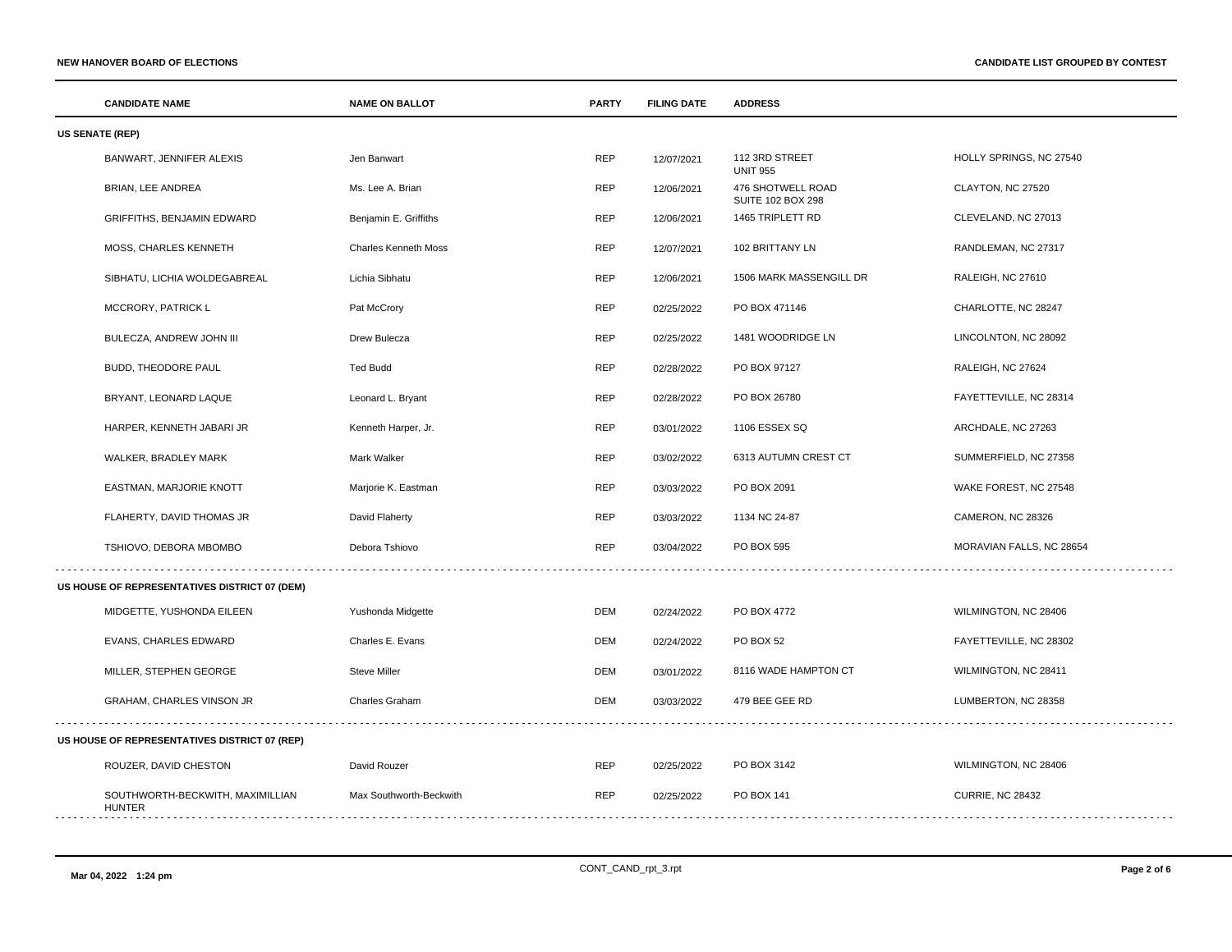|                        | <b>CANDIDATE NAME</b>                         | <b>NAME ON BALLOT</b>       | <b>PARTY</b> | <b>FILING DATE</b> | <b>ADDRESS</b>                                |                          |  |
|------------------------|-----------------------------------------------|-----------------------------|--------------|--------------------|-----------------------------------------------|--------------------------|--|
| <b>US SENATE (REP)</b> |                                               |                             |              |                    |                                               |                          |  |
|                        | BANWART, JENNIFER ALEXIS                      | Jen Banwart                 | <b>REP</b>   | 12/07/2021         | 112 3RD STREET<br><b>UNIT 955</b>             | HOLLY SPRINGS, NC 27540  |  |
|                        | BRIAN, LEE ANDREA                             | Ms. Lee A. Brian            | <b>REP</b>   | 12/06/2021         | 476 SHOTWELL ROAD<br><b>SUITE 102 BOX 298</b> | CLAYTON, NC 27520        |  |
|                        | GRIFFITHS, BENJAMIN EDWARD                    | Benjamin E. Griffiths       | <b>REP</b>   | 12/06/2021         | 1465 TRIPLETT RD                              | CLEVELAND, NC 27013      |  |
|                        | MOSS, CHARLES KENNETH                         | <b>Charles Kenneth Moss</b> | <b>REP</b>   | 12/07/2021         | 102 BRITTANY LN                               | RANDLEMAN, NC 27317      |  |
|                        | SIBHATU, LICHIA WOLDEGABREAL                  | Lichia Sibhatu              | <b>REP</b>   | 12/06/2021         | 1506 MARK MASSENGILL DR                       | RALEIGH, NC 27610        |  |
|                        | MCCRORY, PATRICK L                            | Pat McCrory                 | <b>REP</b>   | 02/25/2022         | PO BOX 471146                                 | CHARLOTTE, NC 28247      |  |
|                        | BULECZA, ANDREW JOHN III                      | Drew Bulecza                | <b>REP</b>   | 02/25/2022         | 1481 WOODRIDGE LN                             | LINCOLNTON, NC 28092     |  |
|                        | BUDD, THEODORE PAUL                           | <b>Ted Budd</b>             | <b>REP</b>   | 02/28/2022         | PO BOX 97127                                  | RALEIGH, NC 27624        |  |
|                        | BRYANT, LEONARD LAQUE                         | Leonard L. Bryant           | <b>REP</b>   | 02/28/2022         | PO BOX 26780                                  | FAYETTEVILLE, NC 28314   |  |
|                        | HARPER, KENNETH JABARI JR                     | Kenneth Harper, Jr.         | <b>REP</b>   | 03/01/2022         | 1106 ESSEX SQ                                 | ARCHDALE, NC 27263       |  |
|                        | WALKER, BRADLEY MARK                          | Mark Walker                 | <b>REP</b>   | 03/02/2022         | 6313 AUTUMN CREST CT                          | SUMMERFIELD, NC 27358    |  |
|                        | EASTMAN, MARJORIE KNOTT                       | Marjorie K. Eastman         | <b>REP</b>   | 03/03/2022         | PO BOX 2091                                   | WAKE FOREST, NC 27548    |  |
|                        | FLAHERTY, DAVID THOMAS JR                     | David Flaherty              | <b>REP</b>   | 03/03/2022         | 1134 NC 24-87                                 | CAMERON, NC 28326        |  |
|                        | TSHIOVO, DEBORA MBOMBO                        | Debora Tshiovo              | <b>REP</b>   | 03/04/2022         | PO BOX 595                                    | MORAVIAN FALLS, NC 28654 |  |
|                        | US HOUSE OF REPRESENTATIVES DISTRICT 07 (DEM) |                             |              |                    |                                               |                          |  |
|                        | MIDGETTE, YUSHONDA EILEEN                     | Yushonda Midgette           | <b>DEM</b>   | 02/24/2022         | PO BOX 4772                                   | WILMINGTON, NC 28406     |  |
|                        | <b>EVANS, CHARLES EDWARD</b>                  | Charles E. Evans            | <b>DEM</b>   | 02/24/2022         | <b>PO BOX 52</b>                              | FAYETTEVILLE, NC 28302   |  |
|                        | MILLER, STEPHEN GEORGE                        | <b>Steve Miller</b>         | <b>DEM</b>   | 03/01/2022         | 8116 WADE HAMPTON CT                          | WILMINGTON, NC 28411     |  |
|                        | GRAHAM, CHARLES VINSON JR                     | Charles Graham              | <b>DEM</b>   | 03/03/2022         | 479 BEE GEE RD                                | LUMBERTON, NC 28358      |  |
|                        | US HOUSE OF REPRESENTATIVES DISTRICT 07 (REP) |                             |              |                    |                                               |                          |  |
|                        | ROUZER, DAVID CHESTON                         | David Rouzer                | <b>REP</b>   | 02/25/2022         | PO BOX 3142                                   | WILMINGTON, NC 28406     |  |
|                        | SOUTHWORTH-BECKWITH, MAXIMILLIAN<br>HUNTER    | Max Southworth-Beckwith     | <b>REP</b>   | 02/25/2022         | PO BOX 141                                    | <b>CURRIE, NC 28432</b>  |  |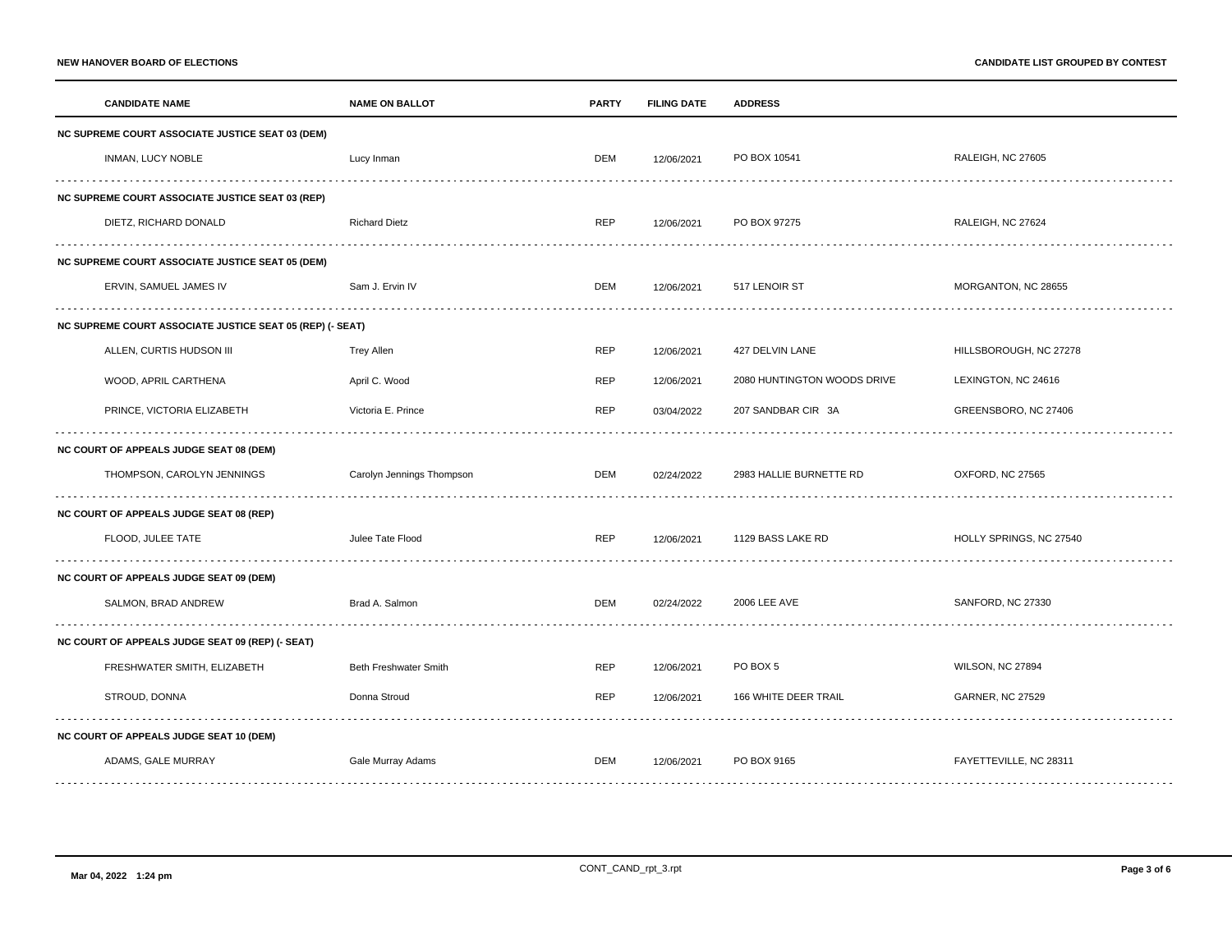| <b>CANDIDATE NAME</b>                                     | <b>NAME ON BALLOT</b>     | <b>PARTY</b> | <b>FILING DATE</b> | <b>ADDRESS</b>              |                         |  |
|-----------------------------------------------------------|---------------------------|--------------|--------------------|-----------------------------|-------------------------|--|
| NC SUPREME COURT ASSOCIATE JUSTICE SEAT 03 (DEM)          |                           |              |                    |                             |                         |  |
| INMAN, LUCY NOBLE                                         | Lucy Inman                | DEM          | 12/06/2021         | PO BOX 10541                | RALEIGH, NC 27605       |  |
| <b>NC SUPREME COURT ASSOCIATE JUSTICE SEAT 03 (REP)</b>   |                           |              |                    |                             |                         |  |
| DIETZ, RICHARD DONALD                                     | <b>Richard Dietz</b>      | <b>REP</b>   | 12/06/2021         | PO BOX 97275                | RALEIGH, NC 27624       |  |
| <b>NC SUPREME COURT ASSOCIATE JUSTICE SEAT 05 (DEM)</b>   |                           |              |                    |                             |                         |  |
| ERVIN, SAMUEL JAMES IV                                    | Sam J. Ervin IV           | DEM          | 12/06/2021         | 517 LENOIR ST               | MORGANTON, NC 28655     |  |
| NC SUPREME COURT ASSOCIATE JUSTICE SEAT 05 (REP) (- SEAT) |                           |              |                    |                             |                         |  |
| ALLEN, CURTIS HUDSON III                                  | <b>Trey Allen</b>         | REP          | 12/06/2021         | 427 DELVIN LANE             | HILLSBOROUGH, NC 27278  |  |
| WOOD, APRIL CARTHENA                                      | April C. Wood             | REP          | 12/06/2021         | 2080 HUNTINGTON WOODS DRIVE | LEXINGTON, NC 24616     |  |
| PRINCE, VICTORIA ELIZABETH                                | Victoria E. Prince        | <b>REP</b>   | 03/04/2022         | 207 SANDBAR CIR 3A          | GREENSBORO, NC 27406    |  |
| NC COURT OF APPEALS JUDGE SEAT 08 (DEM)                   |                           |              |                    |                             |                         |  |
| THOMPSON, CAROLYN JENNINGS                                | Carolyn Jennings Thompson | DEM          | 02/24/2022         | 2983 HALLIE BURNETTE RD     | OXFORD, NC 27565        |  |
| NC COURT OF APPEALS JUDGE SEAT 08 (REP)                   |                           |              |                    |                             |                         |  |
| FLOOD, JULEE TATE                                         | Julee Tate Flood          | <b>REP</b>   | 12/06/2021         | 1129 BASS LAKE RD           | HOLLY SPRINGS, NC 27540 |  |
| <b>NC COURT OF APPEALS JUDGE SEAT 09 (DEM)</b>            |                           |              |                    |                             |                         |  |
| SALMON, BRAD ANDREW                                       | Brad A. Salmon            | DEM          | 02/24/2022         | 2006 LEE AVE                | SANFORD, NC 27330       |  |
| NC COURT OF APPEALS JUDGE SEAT 09 (REP) (- SEAT)          |                           |              |                    |                             |                         |  |
| FRESHWATER SMITH, ELIZABETH                               | Beth Freshwater Smith     | REP          | 12/06/2021         | PO BOX 5                    | WILSON, NC 27894        |  |
| STROUD, DONNA                                             | Donna Stroud              | <b>REP</b>   | 12/06/2021         | 166 WHITE DEER TRAIL        | <b>GARNER, NC 27529</b> |  |
| NC COURT OF APPEALS JUDGE SEAT 10 (DEM)                   |                           |              |                    |                             |                         |  |
| ADAMS, GALE MURRAY                                        | Gale Murray Adams         | DEM          | 12/06/2021         | PO BOX 9165                 | FAYETTEVILLE, NC 28311  |  |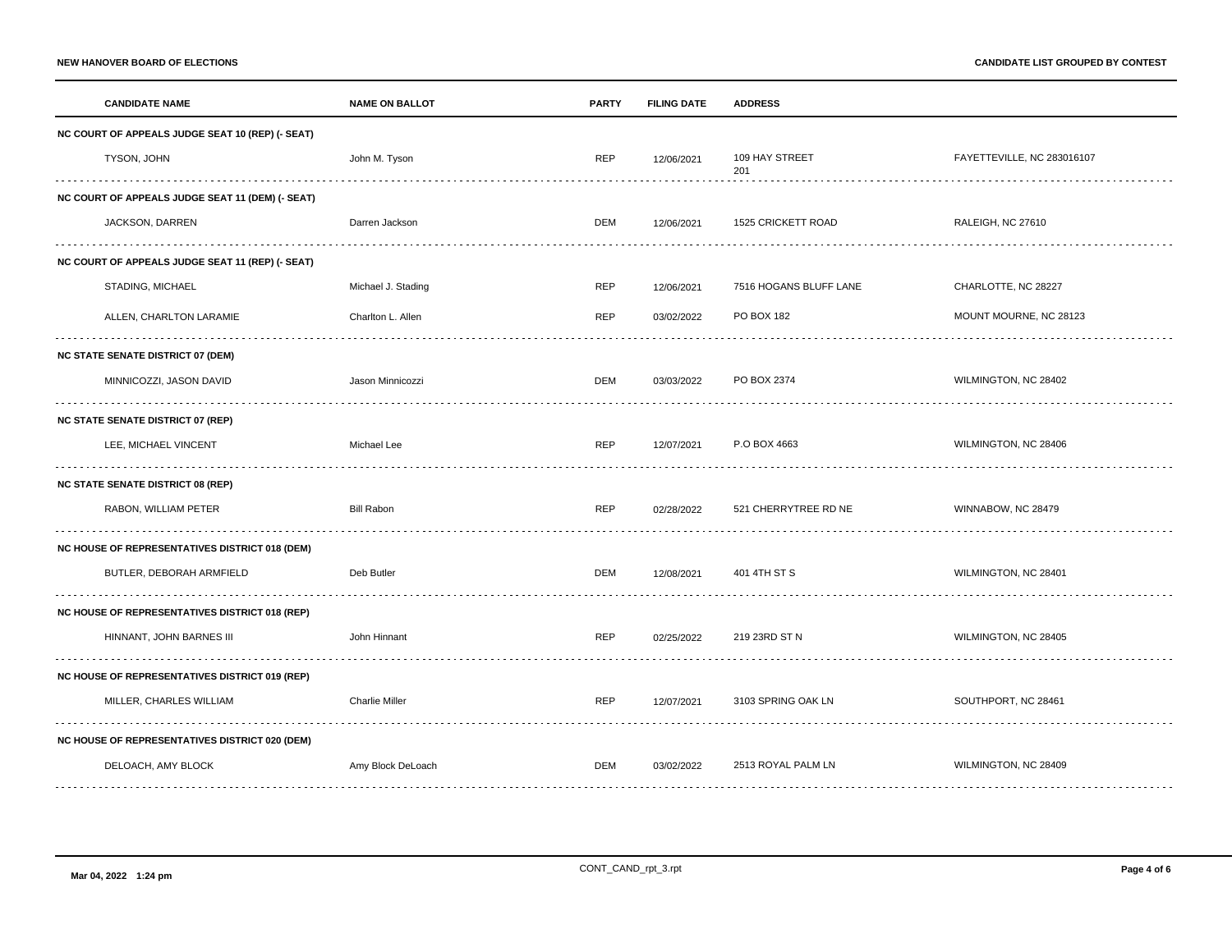|                                                       | <b>CANDIDATE NAME</b>                                 | <b>NAME ON BALLOT</b> | <b>PARTY</b> | <b>FILING DATE</b> | <b>ADDRESS</b>         |                            |  |
|-------------------------------------------------------|-------------------------------------------------------|-----------------------|--------------|--------------------|------------------------|----------------------------|--|
| NC COURT OF APPEALS JUDGE SEAT 10 (REP) (- SEAT)      |                                                       |                       |              |                    |                        |                            |  |
|                                                       | TYSON, JOHN                                           | John M. Tyson         | <b>REP</b>   | 12/06/2021         | 109 HAY STREET<br>201  | FAYETTEVILLE, NC 283016107 |  |
|                                                       | NC COURT OF APPEALS JUDGE SEAT 11 (DEM) (- SEAT)      |                       |              |                    |                        |                            |  |
|                                                       | JACKSON, DARREN                                       | Darren Jackson        | <b>DEM</b>   | 12/06/2021         | 1525 CRICKETT ROAD     | RALEIGH, NC 27610          |  |
|                                                       | NC COURT OF APPEALS JUDGE SEAT 11 (REP) (- SEAT)      |                       |              |                    |                        |                            |  |
|                                                       | STADING, MICHAEL                                      | Michael J. Stading    | <b>REP</b>   | 12/06/2021         | 7516 HOGANS BLUFF LANE | CHARLOTTE, NC 28227        |  |
|                                                       | ALLEN, CHARLTON LARAMIE                               | Charlton L. Allen     | REP          | 03/02/2022         | PO BOX 182             | MOUNT MOURNE, NC 28123     |  |
|                                                       | <b>NC STATE SENATE DISTRICT 07 (DEM)</b>              |                       |              |                    |                        |                            |  |
|                                                       | MINNICOZZI, JASON DAVID                               | Jason Minnicozzi      | <b>DEM</b>   | 03/03/2022         | PO BOX 2374            | WILMINGTON, NC 28402       |  |
|                                                       | <b>NC STATE SENATE DISTRICT 07 (REP)</b>              |                       |              |                    |                        |                            |  |
|                                                       | LEE, MICHAEL VINCENT                                  | Michael Lee           | REP          | 12/07/2021         | P.O BOX 4663           | WILMINGTON, NC 28406       |  |
|                                                       | <b>NC STATE SENATE DISTRICT 08 (REP)</b>              |                       |              |                    |                        |                            |  |
|                                                       | RABON, WILLIAM PETER                                  | <b>Bill Rabon</b>     | REP          | 02/28/2022         | 521 CHERRYTREE RD NE   | WINNABOW, NC 28479         |  |
|                                                       | <b>NC HOUSE OF REPRESENTATIVES DISTRICT 018 (DEM)</b> |                       |              |                    |                        |                            |  |
|                                                       | BUTLER, DEBORAH ARMFIELD                              | Deb Butler            | DEM          | 12/08/2021         | 401 4TH ST S           | WILMINGTON, NC 28401       |  |
|                                                       | NC HOUSE OF REPRESENTATIVES DISTRICT 018 (REP)        |                       |              |                    |                        |                            |  |
|                                                       | HINNANT, JOHN BARNES III                              | John Hinnant          | REP          | 02/25/2022         | 219 23RD ST N          | WILMINGTON, NC 28405       |  |
| <b>NC HOUSE OF REPRESENTATIVES DISTRICT 019 (REP)</b> |                                                       |                       |              |                    |                        |                            |  |
|                                                       | MILLER, CHARLES WILLIAM                               | <b>Charlie Miller</b> | <b>REP</b>   | 12/07/2021         | 3103 SPRING OAK LN     | SOUTHPORT, NC 28461        |  |
|                                                       | NC HOUSE OF REPRESENTATIVES DISTRICT 020 (DEM)        |                       |              |                    |                        |                            |  |
|                                                       | DELOACH, AMY BLOCK                                    | Amy Block DeLoach     | <b>DEM</b>   | 03/02/2022         | 2513 ROYAL PALM LN     | WILMINGTON, NC 28409       |  |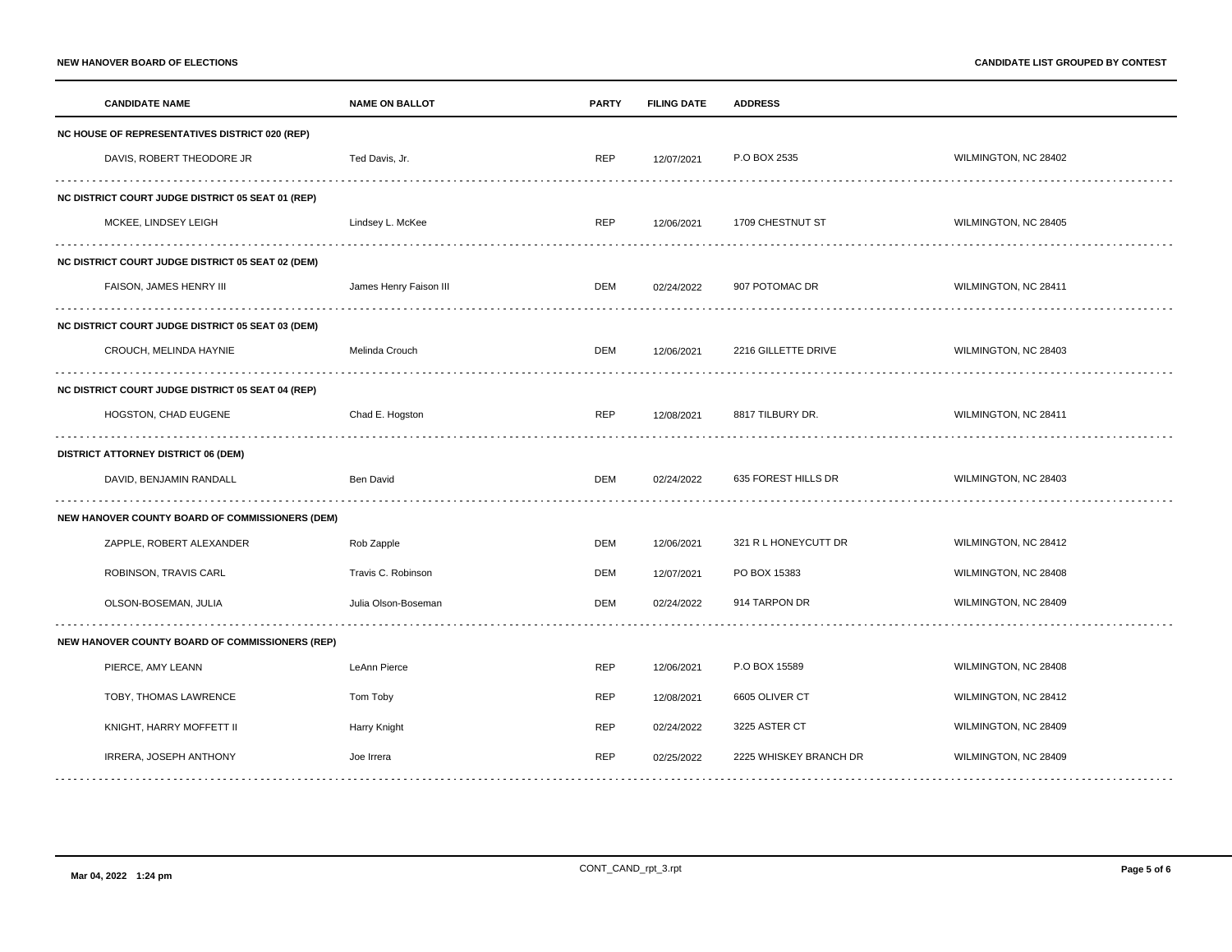| NC HOUSE OF REPRESENTATIVES DISTRICT 020 (REP)<br>DAVIS, ROBERT THEODORE JR<br><b>REP</b><br>P.O BOX 2535<br>WILMINGTON, NC 28402<br>Ted Davis, Jr.<br>12/07/2021<br><b>NC DISTRICT COURT JUDGE DISTRICT 05 SEAT 01 (REP)</b><br>MCKEE, LINDSEY LEIGH<br>Lindsey L. McKee<br><b>REP</b><br>1709 CHESTNUT ST<br>WILMINGTON, NC 28405<br>12/06/2021<br>NC DISTRICT COURT JUDGE DISTRICT 05 SEAT 02 (DEM)<br>WILMINGTON, NC 28411<br>FAISON, JAMES HENRY III<br>907 POTOMAC DR<br>James Henry Faison III<br>DEM<br>02/24/2022<br>NC DISTRICT COURT JUDGE DISTRICT 05 SEAT 03 (DEM)<br>2216 GILLETTE DRIVE<br>WILMINGTON, NC 28403<br>CROUCH, MELINDA HAYNIE<br>Melinda Crouch<br>DEM<br>12/06/2021<br><b>NC DISTRICT COURT JUDGE DISTRICT 05 SEAT 04 (REP)</b><br>HOGSTON, CHAD EUGENE<br>Chad E. Hogston<br><b>REP</b><br>8817 TILBURY DR.<br>WILMINGTON, NC 28411<br>12/08/2021<br><b>DISTRICT ATTORNEY DISTRICT 06 (DEM)</b><br>DAVID, BENJAMIN RANDALL<br><b>Ben David</b><br>DEM<br>635 FOREST HILLS DR<br>WILMINGTON, NC 28403<br>02/24/2022<br>NEW HANOVER COUNTY BOARD OF COMMISSIONERS (DEM)<br>321 R L HONEYCUTT DR<br>WILMINGTON, NC 28412<br>ZAPPLE, ROBERT ALEXANDER<br>Rob Zapple<br>DEM<br>12/06/2021<br>ROBINSON, TRAVIS CARL<br>Travis C. Robinson<br>DEM<br>PO BOX 15383<br>WILMINGTON, NC 28408<br>12/07/2021<br>DEM<br>914 TARPON DR<br>WILMINGTON, NC 28409<br>OLSON-BOSEMAN, JULIA<br>Julia Olson-Boseman<br>02/24/2022<br>NEW HANOVER COUNTY BOARD OF COMMISSIONERS (REP)<br>PIERCE, AMY LEANN<br>P.O BOX 15589<br>WILMINGTON, NC 28408<br>LeAnn Pierce<br><b>REP</b><br>12/06/2021<br>TOBY, THOMAS LAWRENCE<br><b>REP</b><br>6605 OLIVER CT<br>WILMINGTON, NC 28412<br>Tom Toby<br>12/08/2021<br>KNIGHT, HARRY MOFFETT II | <b>CANDIDATE NAME</b> |  | <b>NAME ON BALLOT</b> | <b>PARTY</b> | <b>FILING DATE</b> | <b>ADDRESS</b> |                      |  |
|------------------------------------------------------------------------------------------------------------------------------------------------------------------------------------------------------------------------------------------------------------------------------------------------------------------------------------------------------------------------------------------------------------------------------------------------------------------------------------------------------------------------------------------------------------------------------------------------------------------------------------------------------------------------------------------------------------------------------------------------------------------------------------------------------------------------------------------------------------------------------------------------------------------------------------------------------------------------------------------------------------------------------------------------------------------------------------------------------------------------------------------------------------------------------------------------------------------------------------------------------------------------------------------------------------------------------------------------------------------------------------------------------------------------------------------------------------------------------------------------------------------------------------------------------------------------------------------------------------------------------------------------------------------------------------------------------------------------------------------------|-----------------------|--|-----------------------|--------------|--------------------|----------------|----------------------|--|
|                                                                                                                                                                                                                                                                                                                                                                                                                                                                                                                                                                                                                                                                                                                                                                                                                                                                                                                                                                                                                                                                                                                                                                                                                                                                                                                                                                                                                                                                                                                                                                                                                                                                                                                                                |                       |  |                       |              |                    |                |                      |  |
|                                                                                                                                                                                                                                                                                                                                                                                                                                                                                                                                                                                                                                                                                                                                                                                                                                                                                                                                                                                                                                                                                                                                                                                                                                                                                                                                                                                                                                                                                                                                                                                                                                                                                                                                                |                       |  |                       |              |                    |                |                      |  |
|                                                                                                                                                                                                                                                                                                                                                                                                                                                                                                                                                                                                                                                                                                                                                                                                                                                                                                                                                                                                                                                                                                                                                                                                                                                                                                                                                                                                                                                                                                                                                                                                                                                                                                                                                |                       |  |                       |              |                    |                |                      |  |
|                                                                                                                                                                                                                                                                                                                                                                                                                                                                                                                                                                                                                                                                                                                                                                                                                                                                                                                                                                                                                                                                                                                                                                                                                                                                                                                                                                                                                                                                                                                                                                                                                                                                                                                                                |                       |  |                       |              |                    |                |                      |  |
|                                                                                                                                                                                                                                                                                                                                                                                                                                                                                                                                                                                                                                                                                                                                                                                                                                                                                                                                                                                                                                                                                                                                                                                                                                                                                                                                                                                                                                                                                                                                                                                                                                                                                                                                                |                       |  |                       |              |                    |                |                      |  |
|                                                                                                                                                                                                                                                                                                                                                                                                                                                                                                                                                                                                                                                                                                                                                                                                                                                                                                                                                                                                                                                                                                                                                                                                                                                                                                                                                                                                                                                                                                                                                                                                                                                                                                                                                |                       |  |                       |              |                    |                |                      |  |
|                                                                                                                                                                                                                                                                                                                                                                                                                                                                                                                                                                                                                                                                                                                                                                                                                                                                                                                                                                                                                                                                                                                                                                                                                                                                                                                                                                                                                                                                                                                                                                                                                                                                                                                                                |                       |  |                       |              |                    |                |                      |  |
|                                                                                                                                                                                                                                                                                                                                                                                                                                                                                                                                                                                                                                                                                                                                                                                                                                                                                                                                                                                                                                                                                                                                                                                                                                                                                                                                                                                                                                                                                                                                                                                                                                                                                                                                                |                       |  |                       |              |                    |                |                      |  |
|                                                                                                                                                                                                                                                                                                                                                                                                                                                                                                                                                                                                                                                                                                                                                                                                                                                                                                                                                                                                                                                                                                                                                                                                                                                                                                                                                                                                                                                                                                                                                                                                                                                                                                                                                |                       |  |                       |              |                    |                |                      |  |
|                                                                                                                                                                                                                                                                                                                                                                                                                                                                                                                                                                                                                                                                                                                                                                                                                                                                                                                                                                                                                                                                                                                                                                                                                                                                                                                                                                                                                                                                                                                                                                                                                                                                                                                                                |                       |  |                       |              |                    |                |                      |  |
|                                                                                                                                                                                                                                                                                                                                                                                                                                                                                                                                                                                                                                                                                                                                                                                                                                                                                                                                                                                                                                                                                                                                                                                                                                                                                                                                                                                                                                                                                                                                                                                                                                                                                                                                                |                       |  |                       |              |                    |                |                      |  |
|                                                                                                                                                                                                                                                                                                                                                                                                                                                                                                                                                                                                                                                                                                                                                                                                                                                                                                                                                                                                                                                                                                                                                                                                                                                                                                                                                                                                                                                                                                                                                                                                                                                                                                                                                |                       |  |                       |              |                    |                |                      |  |
|                                                                                                                                                                                                                                                                                                                                                                                                                                                                                                                                                                                                                                                                                                                                                                                                                                                                                                                                                                                                                                                                                                                                                                                                                                                                                                                                                                                                                                                                                                                                                                                                                                                                                                                                                |                       |  |                       |              |                    |                |                      |  |
|                                                                                                                                                                                                                                                                                                                                                                                                                                                                                                                                                                                                                                                                                                                                                                                                                                                                                                                                                                                                                                                                                                                                                                                                                                                                                                                                                                                                                                                                                                                                                                                                                                                                                                                                                |                       |  |                       |              |                    |                |                      |  |
|                                                                                                                                                                                                                                                                                                                                                                                                                                                                                                                                                                                                                                                                                                                                                                                                                                                                                                                                                                                                                                                                                                                                                                                                                                                                                                                                                                                                                                                                                                                                                                                                                                                                                                                                                |                       |  |                       |              |                    |                |                      |  |
|                                                                                                                                                                                                                                                                                                                                                                                                                                                                                                                                                                                                                                                                                                                                                                                                                                                                                                                                                                                                                                                                                                                                                                                                                                                                                                                                                                                                                                                                                                                                                                                                                                                                                                                                                |                       |  |                       |              |                    |                |                      |  |
|                                                                                                                                                                                                                                                                                                                                                                                                                                                                                                                                                                                                                                                                                                                                                                                                                                                                                                                                                                                                                                                                                                                                                                                                                                                                                                                                                                                                                                                                                                                                                                                                                                                                                                                                                |                       |  |                       |              |                    |                |                      |  |
|                                                                                                                                                                                                                                                                                                                                                                                                                                                                                                                                                                                                                                                                                                                                                                                                                                                                                                                                                                                                                                                                                                                                                                                                                                                                                                                                                                                                                                                                                                                                                                                                                                                                                                                                                |                       |  |                       |              |                    |                |                      |  |
|                                                                                                                                                                                                                                                                                                                                                                                                                                                                                                                                                                                                                                                                                                                                                                                                                                                                                                                                                                                                                                                                                                                                                                                                                                                                                                                                                                                                                                                                                                                                                                                                                                                                                                                                                |                       |  |                       |              |                    |                |                      |  |
|                                                                                                                                                                                                                                                                                                                                                                                                                                                                                                                                                                                                                                                                                                                                                                                                                                                                                                                                                                                                                                                                                                                                                                                                                                                                                                                                                                                                                                                                                                                                                                                                                                                                                                                                                |                       |  | Harry Knight          | REP          | 02/24/2022         | 3225 ASTER CT  | WILMINGTON, NC 28409 |  |
| IRRERA, JOSEPH ANTHONY<br><b>REP</b><br>2225 WHISKEY BRANCH DR<br>WILMINGTON, NC 28409<br>02/25/2022<br>Joe Irrera                                                                                                                                                                                                                                                                                                                                                                                                                                                                                                                                                                                                                                                                                                                                                                                                                                                                                                                                                                                                                                                                                                                                                                                                                                                                                                                                                                                                                                                                                                                                                                                                                             |                       |  |                       |              |                    |                |                      |  |